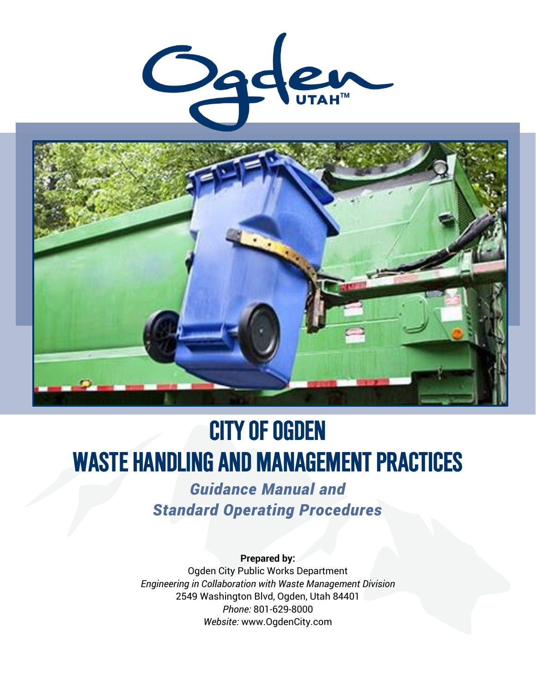



# **CITY OF OGDEN WASTE HANDLING AND MANAGEMENT PRACTICES**

*Guidance Manual and Standard Operating Procedures*

**Prepared by:** Ogden City Public Works Department *Engineering in Collaboration with Waste Management Division* 2549 Washington Blvd, Ogden, Utah 84401 *Phone:* 801-629-8000 *Website:* www.OgdenCity.com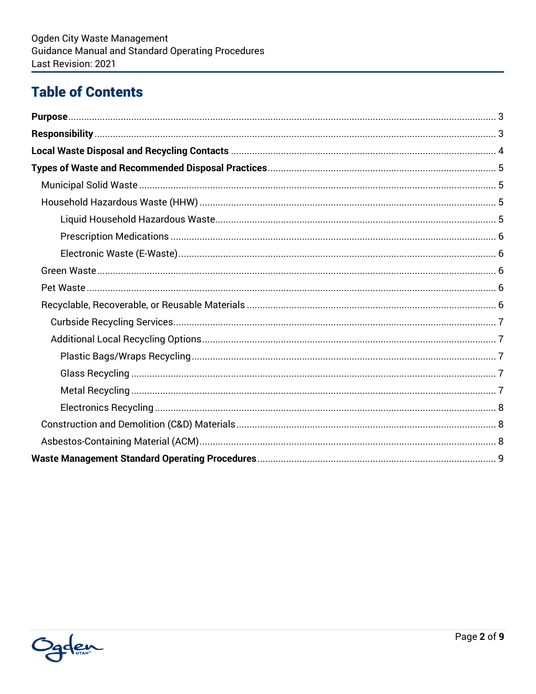# **Table of Contents**

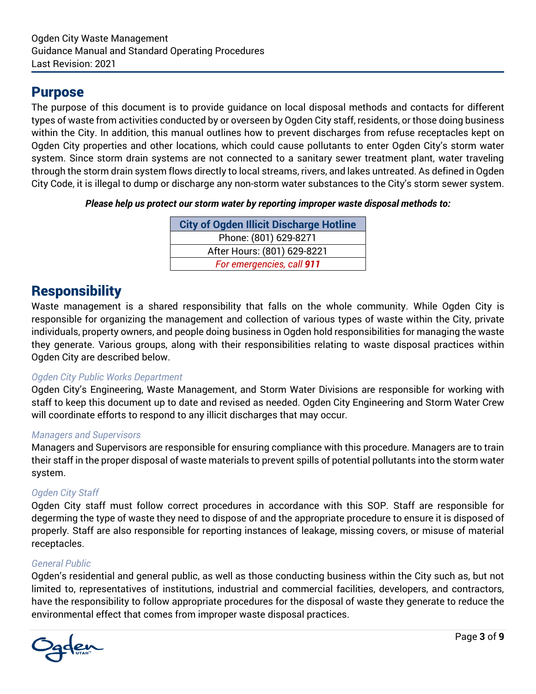## <span id="page-2-0"></span>Purpose

The purpose of this document is to provide guidance on local disposal methods and contacts for different types of waste from activities conducted by or overseen by Ogden City staff, residents, or those doing business within the City. In addition, this manual outlines how to prevent discharges from refuse receptacles kept on Ogden City properties and other locations, which could cause pollutants to enter Ogden City's storm water system. Since storm drain systems are not connected to a sanitary sewer treatment plant, water traveling through the storm drain system flows directly to local streams, rivers, and lakes untreated. As defined in Ogden City Code, it is illegal to dump or discharge any non-storm water substances to the City's storm sewer system.

*Please help us protect our storm water by reporting improper waste disposal methods to:*

| <b>City of Ogden Illicit Discharge Hotline</b> |
|------------------------------------------------|
| Phone: (801) 629-8271                          |
| After Hours: (801) 629-8221                    |
| For emergencies, call 911                      |

# <span id="page-2-1"></span>**Responsibility**

Waste management is a shared responsibility that falls on the whole community. While Ogden City is responsible for organizing the management and collection of various types of waste within the City, private individuals, property owners, and people doing business in Ogden hold responsibilities for managing the waste they generate. Various groups, along with their responsibilities relating to waste disposal practices within Ogden City are described below.

#### *Ogden City Public Works Department*

Ogden City's Engineering, Waste Management, and Storm Water Divisions are responsible for working with staff to keep this document up to date and revised as needed. Ogden City Engineering and Storm Water Crew will coordinate efforts to respond to any illicit discharges that may occur.

#### *Managers and Supervisors*

Managers and Supervisors are responsible for ensuring compliance with this procedure. Managers are to train their staff in the proper disposal of waste materials to prevent spills of potential pollutants into the storm water system.

#### *Ogden City Staff*

Ogden City staff must follow correct procedures in accordance with this SOP. Staff are responsible for degerming the type of waste they need to dispose of and the appropriate procedure to ensure it is disposed of properly. Staff are also responsible for reporting instances of leakage, missing covers, or misuse of material receptacles.

#### *General Public*

Ogden's residential and general public, as well as those conducting business within the City such as, but not limited to, representatives of institutions, industrial and commercial facilities, developers, and contractors, have the responsibility to follow appropriate procedures for the disposal of waste they generate to reduce the environmental effect that comes from improper waste disposal practices.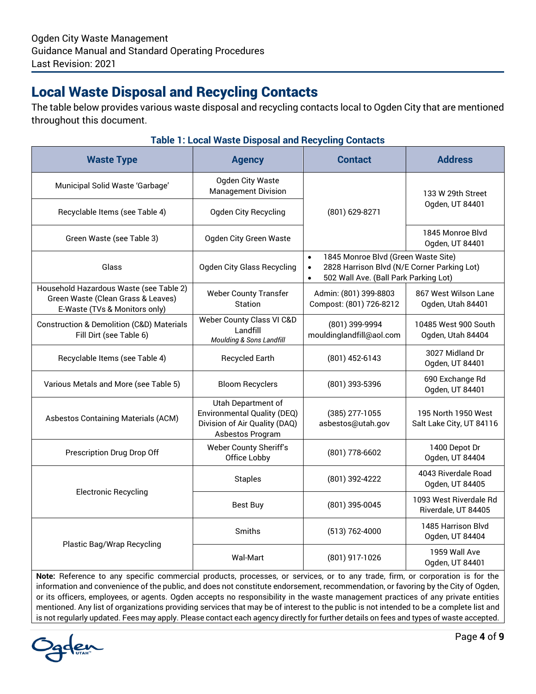# <span id="page-3-0"></span>Local Waste Disposal and Recycling Contacts

The table below provides various waste disposal and recycling contacts local to Ogden City that are mentioned throughout this document.

## **Table 1: Local Waste Disposal and Recycling Contacts**

| <b>Waste Type</b>                                                                                              | <b>Agency</b>                                                                                          | <b>Contact</b>                                                                                                                                                     | <b>Address</b>                                  |  |
|----------------------------------------------------------------------------------------------------------------|--------------------------------------------------------------------------------------------------------|--------------------------------------------------------------------------------------------------------------------------------------------------------------------|-------------------------------------------------|--|
| Municipal Solid Waste 'Garbage'                                                                                | Ogden City Waste<br><b>Management Division</b>                                                         |                                                                                                                                                                    | 133 W 29th Street                               |  |
| Recyclable Items (see Table 4)                                                                                 | <b>Ogden City Recycling</b><br>(801) 629-8271                                                          |                                                                                                                                                                    | Ogden, UT 84401                                 |  |
| Green Waste (see Table 3)                                                                                      | Ogden City Green Waste                                                                                 |                                                                                                                                                                    | 1845 Monroe Blvd<br>Ogden, UT 84401             |  |
| Glass                                                                                                          | <b>Ogden City Glass Recycling</b>                                                                      | 1845 Monroe Blvd (Green Waste Site)<br>$\bullet$<br>2828 Harrison Blvd (N/E Corner Parking Lot)<br>$\bullet$<br>502 Wall Ave. (Ball Park Parking Lot)<br>$\bullet$ |                                                 |  |
| Household Hazardous Waste (see Table 2)<br>Green Waste (Clean Grass & Leaves)<br>E-Waste (TVs & Monitors only) | <b>Weber County Transfer</b><br>Station                                                                | Admin: (801) 399-8803<br>Compost: (801) 726-8212                                                                                                                   | 867 West Wilson Lane<br>Ogden, Utah 84401       |  |
| <b>Construction &amp; Demolition (C&amp;D) Materials</b><br>Fill Dirt (see Table 6)                            | Weber County Class VI C&D<br>Landfill<br><b>Moulding &amp; Sons Landfill</b>                           | (801) 399-9994<br>mouldinglandfill@aol.com                                                                                                                         | 10485 West 900 South<br>Ogden, Utah 84404       |  |
| Recyclable Items (see Table 4)                                                                                 | <b>Recycled Earth</b>                                                                                  | $(801)$ 452-6143                                                                                                                                                   | 3027 Midland Dr<br>Ogden, UT 84401              |  |
| Various Metals and More (see Table 5)                                                                          | <b>Bloom Recyclers</b>                                                                                 | (801) 393-5396                                                                                                                                                     | 690 Exchange Rd<br>Ogden, UT 84401              |  |
| Asbestos Containing Materials (ACM)                                                                            | Utah Department of<br>Environmental Quality (DEQ)<br>Division of Air Quality (DAQ)<br>Asbestos Program | (385) 277-1055<br>asbestos@utah.gov                                                                                                                                | 195 North 1950 West<br>Salt Lake City, UT 84116 |  |
| Prescription Drug Drop Off                                                                                     | Weber County Sheriff's<br>Office Lobby                                                                 | (801) 778-6602                                                                                                                                                     | 1400 Depot Dr<br>Ogden, UT 84404                |  |
|                                                                                                                | <b>Staples</b>                                                                                         | (801) 392-4222                                                                                                                                                     | 4043 Riverdale Road<br>Ogden, UT 84405          |  |
| <b>Electronic Recycling</b>                                                                                    | <b>Best Buy</b>                                                                                        | (801) 395-0045                                                                                                                                                     | 1093 West Riverdale Rd<br>Riverdale, UT 84405   |  |
|                                                                                                                | Smiths                                                                                                 | (513) 762-4000                                                                                                                                                     | 1485 Harrison Blvd<br>Ogden, UT 84404           |  |
| Plastic Bag/Wrap Recycling                                                                                     | <b>Wal-Mart</b>                                                                                        | (801) 917-1026                                                                                                                                                     | 1959 Wall Ave<br>Ogden, UT 84401                |  |

**Note:** Reference to any specific commercial products, processes, or services, or to any trade, firm, or corporation is for the information and convenience of the public, and does not constitute endorsement, recommendation, or favoring by the City of Ogden, or its officers, employees, or agents. Ogden accepts no responsibility in the waste management practices of any private entities mentioned. Any list of organizations providing services that may be of interest to the public is not intended to be a complete list and is not regularly updated. Fees may apply. Please contact each agency directly for further details on fees and types of waste accepted.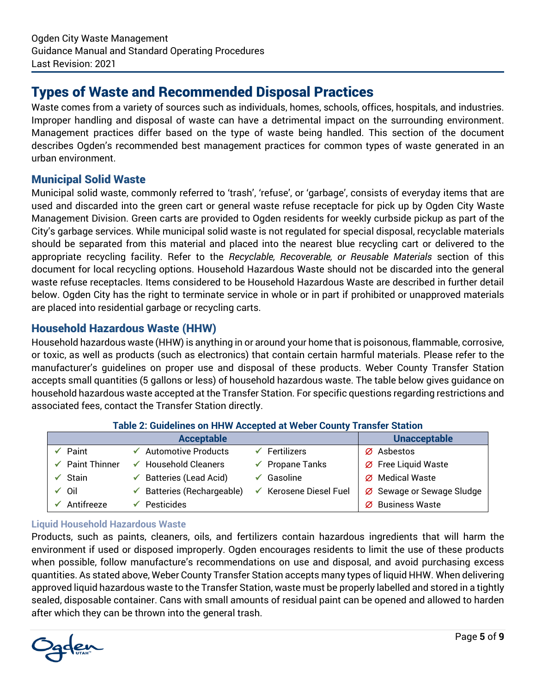# <span id="page-4-0"></span>Types of Waste and Recommended Disposal Practices

Waste comes from a variety of sources such as individuals, homes, schools, offices, hospitals, and industries. Improper handling and disposal of waste can have a detrimental impact on the surrounding environment. Management practices differ based on the type of waste being handled. This section of the document describes Ogden's recommended best management practices for common types of waste generated in an urban environment.

#### <span id="page-4-1"></span>Municipal Solid Waste

Municipal solid waste, commonly referred to 'trash', 'refuse', or 'garbage', consists of everyday items that are used and discarded into the green cart or general waste refuse receptacle for pick up by Ogden City Waste Management Division. Green carts are provided to Ogden residents for weekly curbside pickup as part of the City's garbage services. While municipal solid waste is not regulated for special disposal, recyclable materials should be separated from this material and placed into the nearest blue recycling cart or delivered to the appropriate recycling facility. Refer to the *Recyclable, Recoverable, or Reusable Materials* section of this document for local recycling options. Household Hazardous Waste should not be discarded into the general waste refuse receptacles. Items considered to be Household Hazardous Waste are described in further detail below. Ogden City has the right to terminate service in whole or in part if prohibited or unapproved materials are placed into residential garbage or recycling carts.

#### <span id="page-4-2"></span>Household Hazardous Waste (HHW)

Household hazardous waste (HHW) is anything in or around your home that is poisonous, flammable, corrosive, or toxic, as well as products (such as electronics) that contain certain harmful materials. Please refer to the manufacturer's guidelines on proper use and disposal of these products. Weber County Transfer Station accepts small quantities (5 gallons or less) of household hazardous waste. The table below gives guidance on household hazardous waste accepted at the Transfer Station. For specific questions regarding restrictions and associated fees, contact the Transfer Station directly.

| Table 2. Odlučniles VII i III IV Aččepteu at IVebel Odulity Transiel Otation |                                       |                                      |                               |  |  |  |  |  |  |
|------------------------------------------------------------------------------|---------------------------------------|--------------------------------------|-------------------------------|--|--|--|--|--|--|
|                                                                              | <b>Unacceptable</b>                   |                                      |                               |  |  |  |  |  |  |
| Paint                                                                        | <b>Automotive Products</b>            | Fertilizers                          | $\varnothing$ Asbestos        |  |  |  |  |  |  |
| <b>Paint Thinner</b>                                                         | <b>Household Cleaners</b>             | Propane Tanks<br>$\checkmark$        | $\emptyset$ Free Liquid Waste |  |  |  |  |  |  |
| Stain                                                                        | $\checkmark$ Batteries (Lead Acid)    | Gasoline                             | Ø Medical Waste               |  |  |  |  |  |  |
| ✔ Oil                                                                        | $\checkmark$ Batteries (Rechargeable) | Kerosene Diesel Fuel<br>$\checkmark$ | Ø Sewage or Sewage Sludge     |  |  |  |  |  |  |
| Antifreeze                                                                   | Pesticides                            |                                      | <b>Business Waste</b><br>Ø    |  |  |  |  |  |  |

#### **Table 2: Guidelines on HHW Accepted at Weber County Transfer Station**

#### <span id="page-4-3"></span>**Liquid Household Hazardous Waste**

Products, such as paints, cleaners, oils, and fertilizers contain hazardous ingredients that will harm the environment if used or disposed improperly. Ogden encourages residents to limit the use of these products when possible, follow manufacture's recommendations on use and disposal, and avoid purchasing excess quantities. As stated above, Weber County Transfer Station accepts many types of liquid HHW. When delivering approved liquid hazardous waste to the Transfer Station, waste must be properly labelled and stored in a tightly sealed, disposable container. Cans with small amounts of residual paint can be opened and allowed to harden after which they can be thrown into the general trash.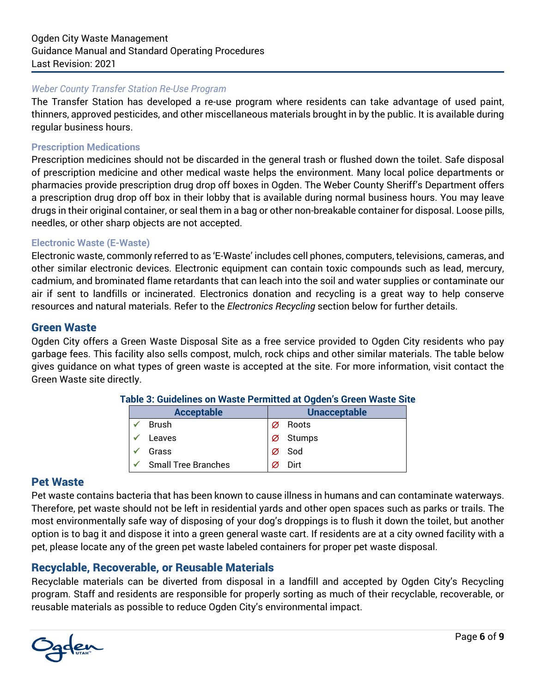#### *Weber County Transfer Station Re-Use Program*

The Transfer Station has developed a re-use program where residents can take advantage of used paint, thinners, approved pesticides, and other miscellaneous materials brought in by the public. It is available during regular business hours.

#### <span id="page-5-0"></span>**Prescription Medications**

Prescription medicines should not be discarded in the general trash or flushed down the toilet. Safe disposal of prescription medicine and other medical waste helps the environment. Many local police departments or pharmacies provide prescription drug drop off boxes in Ogden. The Weber County Sheriff's Department offers a prescription drug drop off box in their lobby that is available during normal business hours. You may leave drugs in their original container, or seal them in a bag or other non-breakable container for disposal. Loose pills, needles, or other sharp objects are not accepted.

#### <span id="page-5-1"></span>**Electronic Waste (E-Waste)**

Electronic waste, commonly referred to as 'E-Waste' includes cell phones, computers, televisions, cameras, and other similar electronic devices. Electronic equipment can contain toxic compounds such as lead, mercury, cadmium, and brominated flame retardants that can leach into the soil and water supplies or contaminate our air if sent to landfills or incinerated. Electronics donation and recycling is a great way to help conserve resources and natural materials. Refer to the *Electronics Recycling* section below for further details.

#### <span id="page-5-2"></span>Green Waste

Ogden City offers a Green Waste Disposal Site as a free service provided to Ogden City residents who pay garbage fees. This facility also sells compost, mulch, rock chips and other similar materials. The table below gives guidance on what types of green waste is accepted at the site. For more information, visit contact the Green Waste site directly.

| <b>Acceptable</b>          | <b>Unacceptable</b> |        |  |  |  |  |
|----------------------------|---------------------|--------|--|--|--|--|
| <b>Brush</b>               | Ø                   | Roots  |  |  |  |  |
| Leaves                     |                     | Stumps |  |  |  |  |
| Grass                      |                     | Sod    |  |  |  |  |
| <b>Small Tree Branches</b> |                     | Dirt   |  |  |  |  |

#### **Table 3: Guidelines on Waste Permitted at Ogden's Green Waste Site**

#### <span id="page-5-3"></span>Pet Waste

Pet waste contains bacteria that has been known to cause illness in humans and can contaminate waterways. Therefore, pet waste should not be left in residential yards and other open spaces such as parks or trails. The most environmentally safe way of disposing of your dog's droppings is to flush it down the toilet, but another option is to bag it and dispose it into a green general waste cart. If residents are at a city owned facility with a pet, please locate any of the green pet waste labeled containers for proper pet waste disposal.

#### <span id="page-5-4"></span>Recyclable, Recoverable, or Reusable Materials

Recyclable materials can be diverted from disposal in a landfill and accepted by Ogden City's Recycling program. Staff and residents are responsible for properly sorting as much of their recyclable, recoverable, or reusable materials as possible to reduce Ogden City's environmental impact.

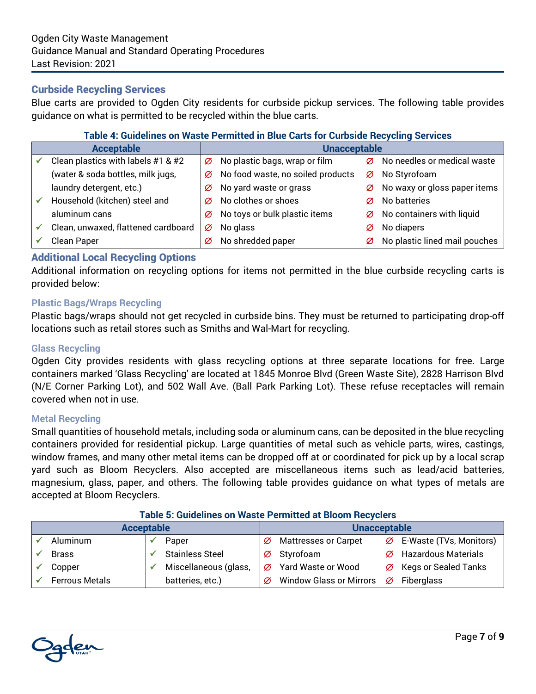#### <span id="page-6-0"></span>Curbside Recycling Services

Blue carts are provided to Ogden City residents for curbside pickup services. The following table provides guidance on what is permitted to be recycled within the blue carts.

#### **Table 4: Guidelines on Waste Permitted in Blue Carts for Curbside Recycling Services**

| <b>Acceptable</b>                   | <b>Unacceptable</b> |                                   |   |                               |  |
|-------------------------------------|---------------------|-----------------------------------|---|-------------------------------|--|
| Clean plastics with labels #1 & #2  | Ø                   | No plastic bags, wrap or film     | Ø | No needles or medical waste   |  |
| (water & soda bottles, milk jugs,   | Ø                   | No food waste, no soiled products |   | Ø No Styrofoam                |  |
| laundry detergent, etc.)            | Ø                   | No yard waste or grass            | Ø | No waxy or gloss paper items  |  |
| Household (kitchen) steel and       | Ø                   | No clothes or shoes               | Ø | No batteries                  |  |
| aluminum cans                       | Ø                   | No toys or bulk plastic items     | Ø | No containers with liquid     |  |
| Clean, unwaxed, flattened cardboard | Ø                   | No glass                          | Ø | No diapers                    |  |
| Clean Paper                         | Ø                   | No shredded paper                 | Ø | No plastic lined mail pouches |  |

#### <span id="page-6-1"></span>Additional Local Recycling Options

Additional information on recycling options for items not permitted in the blue curbside recycling carts is provided below:

#### <span id="page-6-2"></span>**Plastic Bags/Wraps Recycling**

Plastic bags/wraps should not get recycled in curbside bins. They must be returned to participating drop-off locations such as retail stores such as Smiths and Wal-Mart for recycling.

#### <span id="page-6-3"></span>**Glass Recycling**

Ogden City provides residents with glass recycling options at three separate locations for free. Large containers marked 'Glass Recycling' are located at 1845 Monroe Blvd (Green Waste Site), 2828 Harrison Blvd (N/E Corner Parking Lot), and 502 Wall Ave. (Ball Park Parking Lot). These refuse receptacles will remain covered when not in use.

#### <span id="page-6-4"></span>**Metal Recycling**

Small quantities of household metals, including soda or aluminum cans, can be deposited in the blue recycling containers provided for residential pickup. Large quantities of metal such as vehicle parts, wires, castings, window frames, and many other metal items can be dropped off at or coordinated for pick up by a local scrap yard such as Bloom Recyclers. Also accepted are miscellaneous items such as lead/acid batteries, magnesium, glass, paper, and others. The following table provides guidance on what types of metals are accepted at Bloom Recyclers.

| Table J. Guidellites UIT Waste Ferrifitted at Diguill Recycle is |                       |  |                        |   |                                |   |                                     |  |
|------------------------------------------------------------------|-----------------------|--|------------------------|---|--------------------------------|---|-------------------------------------|--|
| <b>Acceptable</b>                                                |                       |  |                        |   | <b>Unacceptable</b>            |   |                                     |  |
|                                                                  | Aluminum              |  | Paper                  | Ø | <b>Mattresses or Carpet</b>    |   | $\emptyset$ E-Waste (TVs, Monitors) |  |
|                                                                  | <b>Brass</b>          |  | <b>Stainless Steel</b> | Ø | Styrofoam                      | Ø | <b>Hazardous Materials</b>          |  |
|                                                                  | Copper                |  | Miscellaneous (glass,  | Ø | Yard Waste or Wood             | Ø | <b>Kegs or Sealed Tanks</b>         |  |
|                                                                  | <b>Ferrous Metals</b> |  | batteries, etc.)       | Ø | <b>Window Glass or Mirrors</b> | Ø | Fiberglass                          |  |

#### **Table 5: Guidelines on Waste Permitted at Bloom Recyclers**

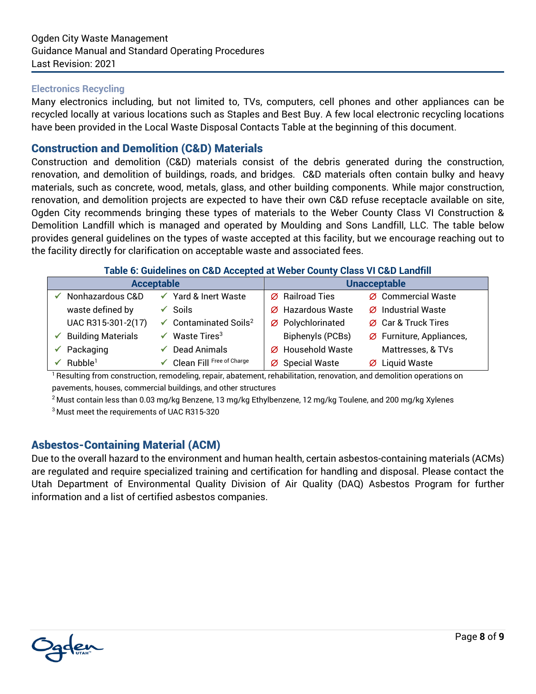#### <span id="page-7-0"></span>**Electronics Recycling**

Many electronics including, but not limited to, TVs, computers, cell phones and other appliances can be recycled locally at various locations such as Staples and Best Buy. A few local electronic recycling locations have been provided in the Local Waste Disposal Contacts Table at the beginning of this document.

#### <span id="page-7-1"></span>Construction and Demolition (C&D) Materials

Construction and demolition (C&D) materials consist of the debris generated during the construction, renovation, and demolition of buildings, roads, and bridges. C&D materials often contain bulky and heavy materials, such as concrete, wood, metals, glass, and other building components. While major construction, renovation, and demolition projects are expected to have their own C&D refuse receptacle available on site, Ogden City recommends bringing these types of materials to the Weber County Class VI Construction & Demolition Landfill which is managed and operated by Moulding and Sons Landfill, LLC. The table below provides general guidelines on the types of waste accepted at this facility, but we encourage reaching out to the facility directly for clarification on acceptable waste and associated fees.

#### **Table 6: Guidelines on C&D Accepted at Weber County Class VI C&D Landfill**

|                                 | <b>Acceptable</b>                            | <b>Unacceptable</b>           |  |                          |  |
|---------------------------------|----------------------------------------------|-------------------------------|--|--------------------------|--|
| Nonhazardous C&D                | ✔ Yard & Inert Waste                         | Ø Railroad Ties               |  | Ø Commercial Waste       |  |
| waste defined by                | Soils                                        | $\varnothing$ Hazardous Waste |  | Ø Industrial Waste       |  |
| UAC R315-301-2(17)              | $\checkmark$ Contaminated Soils <sup>2</sup> | Ø Polychlorinated             |  | Ø Car & Truck Tires      |  |
| $\checkmark$ Building Materials | Waste Tires <sup>3</sup>                     | <b>Biphenyls (PCBs)</b>       |  | Ø Furniture, Appliances, |  |
| $\checkmark$ Packaging          | Dead Animals                                 | Ø Household Waste             |  | Mattresses, & TVs        |  |
| Rubble <sup>1</sup>             | ✔ Clean Fill Free of Charge                  | Ø Special Waste               |  | Ø Liquid Waste           |  |

<sup>1</sup> Resulting from construction, remodeling, repair, abatement, rehabilitation, renovation, and demolition operations on pavements, houses, commercial buildings, and other structures

<sup>2</sup> Must contain less than 0.03 mg/kg Benzene, 13 mg/kg Ethylbenzene, 12 mg/kg Toulene, and 200 mg/kg Xylenes <sup>3</sup> Must meet the requirements of UAC R315-320

#### <span id="page-7-2"></span>Asbestos-Containing Material (ACM)

Due to the overall hazard to the environment and human health, certain asbestos-containing materials (ACMs) are regulated and require specialized training and certification for handling and disposal. Please contact the Utah Department of Environmental Quality Division of Air Quality (DAQ) Asbestos Program for further information and a list of certified asbestos companies.